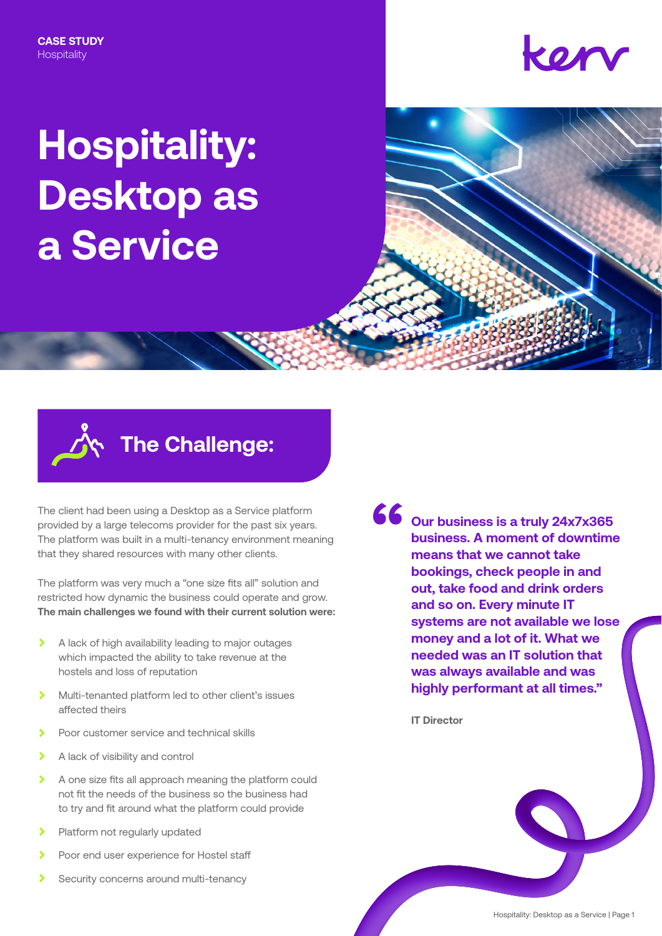## kor

# **Hospitality: Desktop as a Service**



## **The Challenge:**

The client had been using a Desktop as a Service platform provided by a large telecoms provider for the past six years. The platform was built in a multi-tenancy environment meaning that they shared resources with many other clients.

The platform was very much a "one size fits all" solution and restricted how dynamic the business could operate and grow. **The main challenges we found with their current solution were:**

- $\overline{\phantom{0}}$ A lack of high availability leading to major outages which impacted the ability to take revenue at the hostels and loss of reputation
- $\overline{\phantom{a}}$ Multi-tenanted platform led to other client's issues affected theirs
- A Poor customer service and technical skills
- $\blacktriangleright$ A lack of visibility and control
- $\overline{\phantom{a}}$ A one size fits all approach meaning the platform could not fit the needs of the business so the business had to try and fit around what the platform could provide
- $\overline{\phantom{a}}$ Platform not regularly updated
- Poor end user experience for Hostel staff
- Security concerns around multi-tenancy

**Our business is a truly 24x7x365 business. A moment of downtime means that we cannot take bookings, check people in and out, take food and drink orders and so on. Every minute IT systems are not available we lose money and a lot of it. What we needed was an IT solution that was always available and was highly performant at all times."**

**IT Director**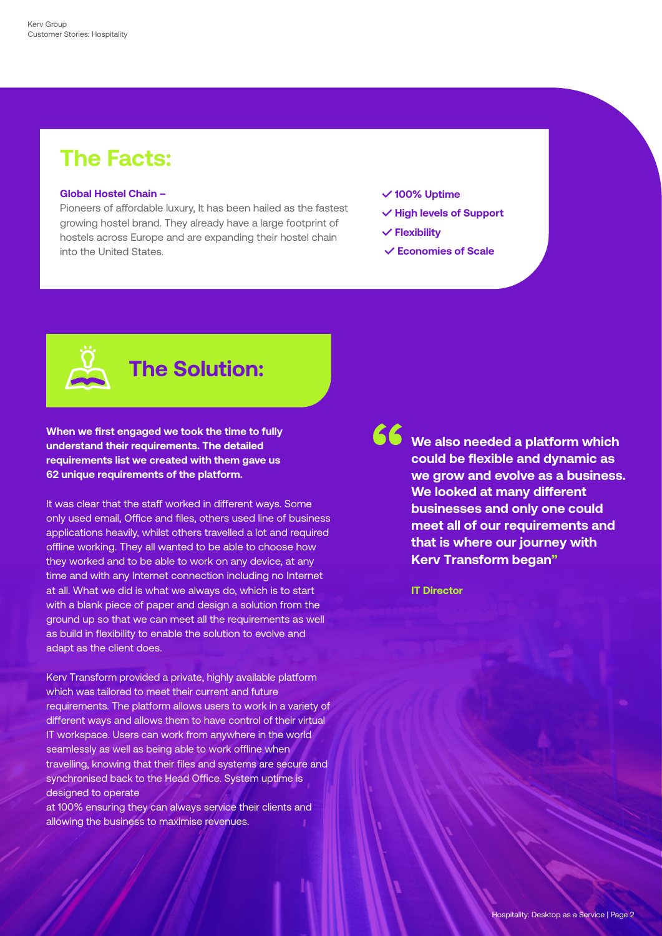### **The Facts:**

#### **Global Hostel Chain –**

Pioneers of affordable luxury, It has been hailed as the fastest growing hostel brand. They already have a large footprint of hostels across Europe and are expanding their hostel chain into the United States.

- **✓ 100% Uptime**
- **✓ High levels of Support**
- **✓ Flexibility**
- **✓ Economies of Scale**

### **The Solution:**

**When we first engaged we took the time to fully understand their requirements. The detailed requirements list we created with them gave us 62 unique requirements of the platform.**

It was clear that the staff worked in different ways. Some only used email, Office and files, others used line of business applications heavily, whilst others travelled a lot and required offline working. They all wanted to be able to choose how they worked and to be able to work on any device, at any time and with any Internet connection including no Internet at all. What we did is what we always do, which is to start with a blank piece of paper and design a solution from the ground up so that we can meet all the requirements as well as build in flexibility to enable the solution to evolve and adapt as the client does.

Kerv Transform provided a private, highly available platform which was tailored to meet their current and future requirements. The platform allows users to work in a variety of different ways and allows them to have control of their virtual IT workspace. Users can work from anywhere in the world seamlessly as well as being able to work offline when travelling, knowing that their files and systems are secure and synchronised back to the Head Office. System uptime is designed to operate

at 100% ensuring they can always service their clients and allowing the business to maximise revenues.

**We also needed a platform which could be flexible and dynamic as we grow and evolve as a business. We looked at many different businesses and only one could meet all of our requirements and that is where our journey with Kerv Transform began"**

**IT Director**